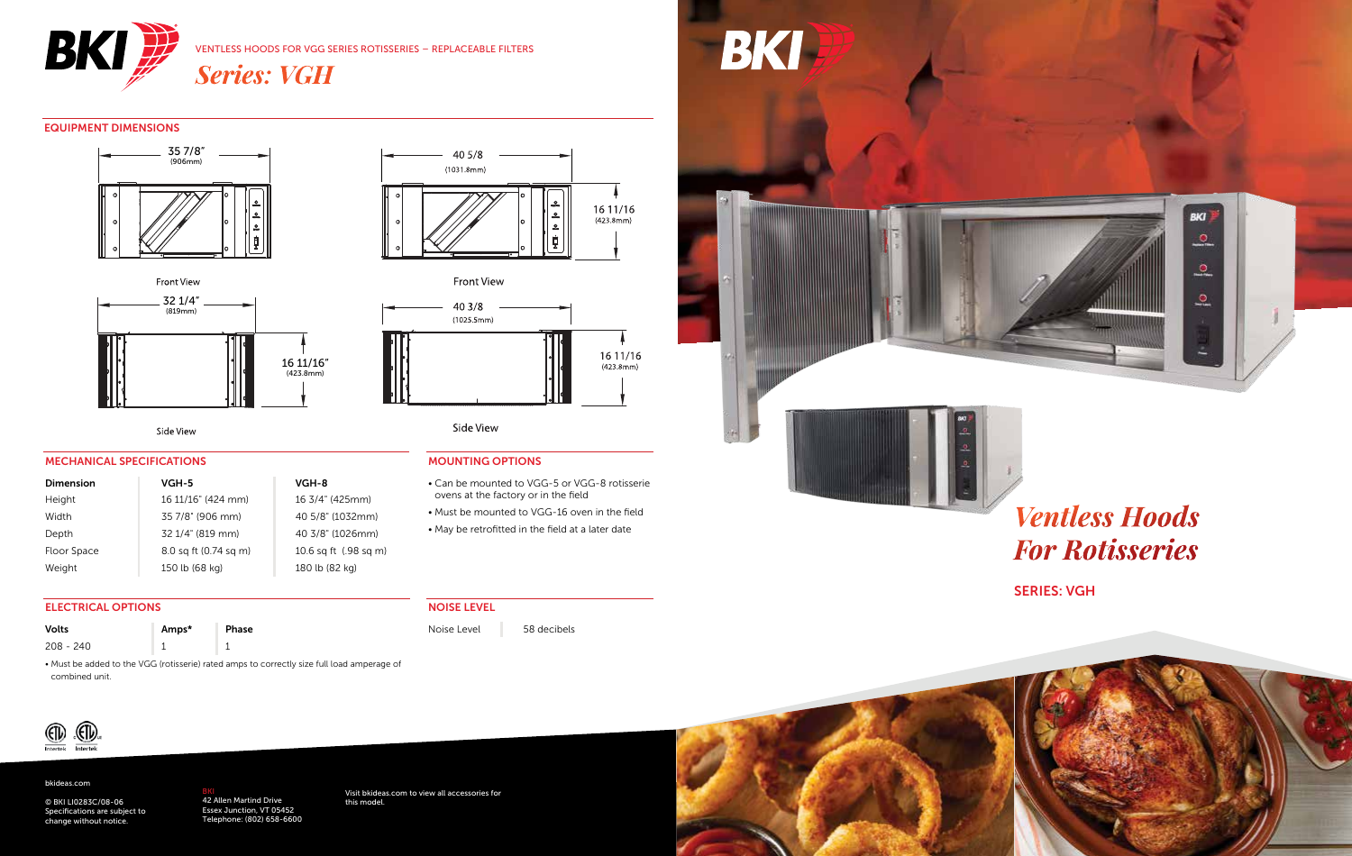

#### VENTLESS HOODS FOR VGG SERIES ROTISSERIES – REPLACEABLE FILTERS

*Series: VGH*

#### EQUIPMENT DIMENSIONS





Front View



Side View

#### MECHANICAL SPECIFICATIONS

ELECTRICAL OPTIONS

Volts **Amps\*** Phase 208 - 240 1 1

| <b>Dimension</b> | VGH-5                 | VGH-8                 |
|------------------|-----------------------|-----------------------|
| Height           | 16 11/16" (424 mm)    | 16 3/4" (425mm)       |
| Width            | 35 7/8" (906 mm)      | 40 5/8" (1032mm)      |
| Depth            | 32 1/4" (819 mm)      | 40 3/8" (1026mm)      |
| Floor Space      | 8.0 sq ft (0.74 sq m) | 10.6 sq ft (.98 sq m) |
| Weight           | 150 lb (68 kg)        | 180 lb (82 kg)        |

### 4" (425mm) /8" (1032mm) 8" (1026mm)

# Side View

40 3/8  $(1025.5mm)$ 

#### MOUNTING OPTIONS

• Can be mounted to VGG-5 or VGG-8 rotisserie ovens at the factory or in the field • Must be mounted to VGG-16 oven in the field

16 11/16  $(423.8mm)$ 

• May be retrofitted in the field at a later date

#### NOISE LEVEL

Noise Level 58 decibels





# *Ventless Hoods For Rotisseries*

**BKI** 

 $\bullet$ 

್ಲ

உ

SERIES: VGH



combined unit.

#### bkideas.com

© BKI LI0283C/08-06 Specifications are subject to change without notice.

#### <mark>BKI</mark><br>42 Allen Martind Drive<br>Essex Junction, VT 05452 Telephone: (802) 658-6600

• Must be added to the VGG (rotisserie) rated amps to correctly size full load amperage of

Visit bkideas.com to view all accessories for this model.